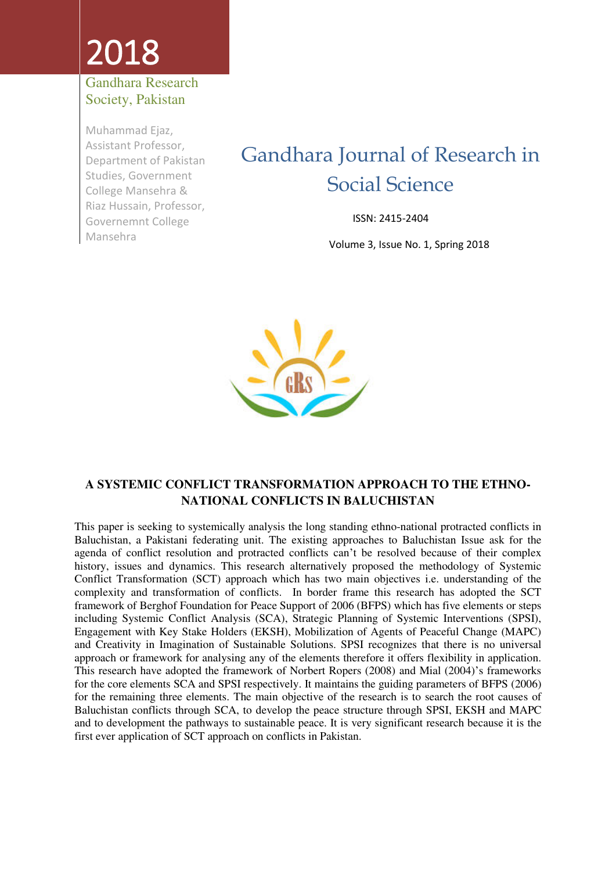# 2018

#### Gandhara Research Society, Pakistan

Muhammad Ejaz, Assistant Professor, Department of Pakistan Studies, Government College Mansehra & Riaz Hussain, Professor, Governemnt College Mansehra

# Gandhara Journal of Research in Social Science

ISSN: 2415-2404

Volume 3, Issue No. 1, Spring 2018



#### **A SYSTEMIC CONFLICT TRANSFORMATION APPROACH TO THE ETHNO-NATIONAL CONFLICTS IN BALUCHISTAN**

This paper is seeking to systemically analysis the long standing ethno-national protracted conflicts in Baluchistan, a Pakistani federating unit. The existing approaches to Baluchistan Issue ask for the agenda of conflict resolution and protracted conflicts can't be resolved because of their complex history, issues and dynamics. This research alternatively proposed the methodology of Systemic Conflict Transformation (SCT) approach which has two main objectives i.e. understanding of the complexity and transformation of conflicts. In border frame this research has adopted the SCT framework of Berghof Foundation for Peace Support of 2006 (BFPS) which has five elements or steps including Systemic Conflict Analysis (SCA), Strategic Planning of Systemic Interventions (SPSI), Engagement with Key Stake Holders (EKSH), Mobilization of Agents of Peaceful Change (MAPC) and Creativity in Imagination of Sustainable Solutions. SPSI recognizes that there is no universal approach or framework for analysing any of the elements therefore it offers flexibility in application. This research have adopted the framework of Norbert Ropers (2008) and Mial (2004)'s frameworks for the core elements SCA and SPSI respectively. It maintains the guiding parameters of BFPS (2006) for the remaining three elements. The main objective of the research is to search the root causes of Baluchistan conflicts through SCA, to develop the peace structure through SPSI, EKSH and MAPC and to development the pathways to sustainable peace. It is very significant research because it is the first ever application of SCT approach on conflicts in Pakistan.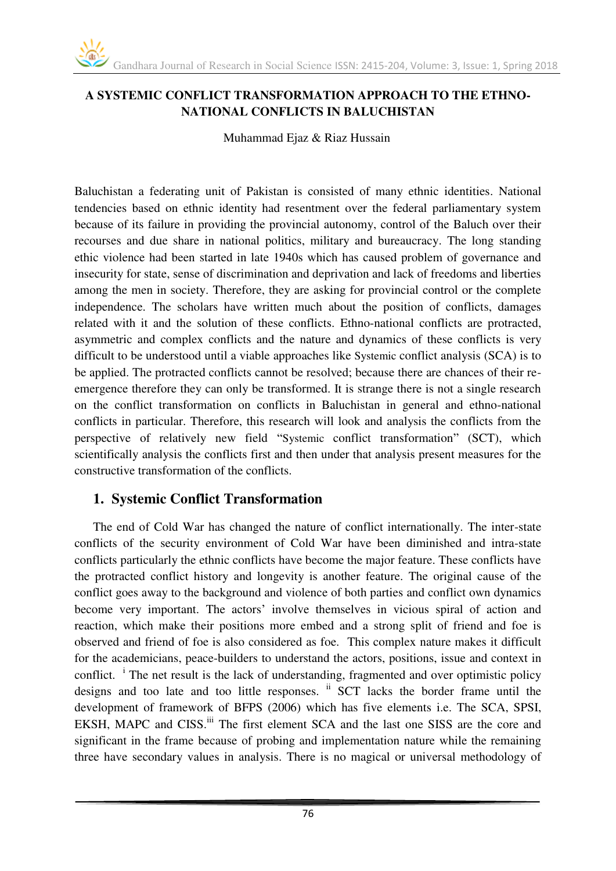#### **A SYSTEMIC CONFLICT TRANSFORMATION APPROACH TO THE ETHNO-NATIONAL CONFLICTS IN BALUCHISTAN**

Muhammad Ejaz & Riaz Hussain

Baluchistan a federating unit of Pakistan is consisted of many ethnic identities. National tendencies based on ethnic identity had resentment over the federal parliamentary system because of its failure in providing the provincial autonomy, control of the Baluch over their recourses and due share in national politics, military and bureaucracy. The long standing ethic violence had been started in late 1940s which has caused problem of governance and insecurity for state, sense of discrimination and deprivation and lack of freedoms and liberties among the men in society. Therefore, they are asking for provincial control or the complete independence. The scholars have written much about the position of conflicts, damages related with it and the solution of these conflicts. Ethno-national conflicts are protracted, asymmetric and complex conflicts and the nature and dynamics of these conflicts is very difficult to be understood until a viable approaches like Systemic conflict analysis (SCA) is to be applied. The protracted conflicts cannot be resolved; because there are chances of their reemergence therefore they can only be transformed. It is strange there is not a single research on the conflict transformation on conflicts in Baluchistan in general and ethno-national conflicts in particular. Therefore, this research will look and analysis the conflicts from the perspective of relatively new field "Systemic conflict transformation" (SCT), which scientifically analysis the conflicts first and then under that analysis present measures for the constructive transformation of the conflicts.

#### **1. Systemic Conflict Transformation**

The end of Cold War has changed the nature of conflict internationally. The inter-state conflicts of the security environment of Cold War have been diminished and intra-state conflicts particularly the ethnic conflicts have become the major feature. These conflicts have the protracted conflict history and longevity is another feature. The original cause of the conflict goes away to the background and violence of both parties and conflict own dynamics become very important. The actors' involve themselves in vicious spiral of action and reaction, which make their positions more embed and a strong split of friend and foe is observed and friend of foe is also considered as foe. This complex nature makes it difficult for the academicians, peace-builders to understand the actors, positions, issue and context in conflict. <sup>i</sup> The net result is the lack of understanding, fragmented and over optimistic policy designs and too late and too little responses. <sup>ii</sup> SCT lacks the border frame until the development of framework of BFPS (2006) which has five elements i.e. The SCA, SPSI, EKSH, MAPC and CISS.<sup>iii</sup> The first element SCA and the last one SISS are the core and significant in the frame because of probing and implementation nature while the remaining three have secondary values in analysis. There is no magical or universal methodology of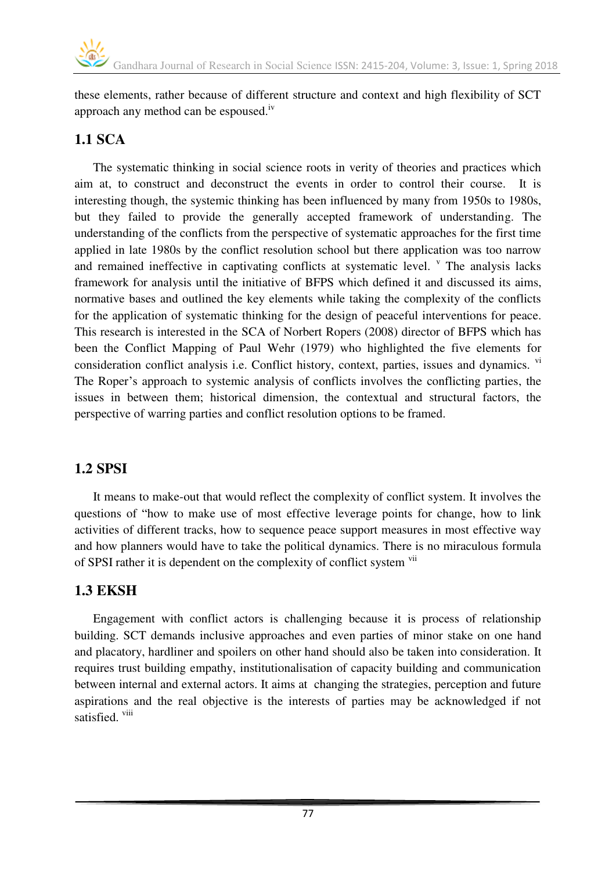these elements, rather because of different structure and context and high flexibility of SCT approach any method can be espoused.iv

# **1.1 SCA**

The systematic thinking in social science roots in verity of theories and practices which aim at, to construct and deconstruct the events in order to control their course. It is interesting though, the systemic thinking has been influenced by many from 1950s to 1980s, but they failed to provide the generally accepted framework of understanding. The understanding of the conflicts from the perspective of systematic approaches for the first time applied in late 1980s by the conflict resolution school but there application was too narrow and remained ineffective in captivating conflicts at systematic level.  $\degree$  The analysis lacks framework for analysis until the initiative of BFPS which defined it and discussed its aims, normative bases and outlined the key elements while taking the complexity of the conflicts for the application of systematic thinking for the design of peaceful interventions for peace. This research is interested in the SCA of Norbert Ropers (2008) director of BFPS which has been the Conflict Mapping of Paul Wehr (1979) who highlighted the five elements for consideration conflict analysis i.e. Conflict history, context, parties, issues and dynamics. vi The Roper's approach to systemic analysis of conflicts involves the conflicting parties, the issues in between them; historical dimension, the contextual and structural factors, the perspective of warring parties and conflict resolution options to be framed.

#### **1.2 SPSI**

It means to make-out that would reflect the complexity of conflict system. It involves the questions of "how to make use of most effective leverage points for change, how to link activities of different tracks, how to sequence peace support measures in most effective way and how planners would have to take the political dynamics. There is no miraculous formula of SPSI rather it is dependent on the complexity of conflict system vii

#### **1.3 EKSH**

Engagement with conflict actors is challenging because it is process of relationship building. SCT demands inclusive approaches and even parties of minor stake on one hand and placatory, hardliner and spoilers on other hand should also be taken into consideration. It requires trust building empathy, institutionalisation of capacity building and communication between internal and external actors. It aims at changing the strategies, perception and future aspirations and the real objective is the interests of parties may be acknowledged if not satisfied. viii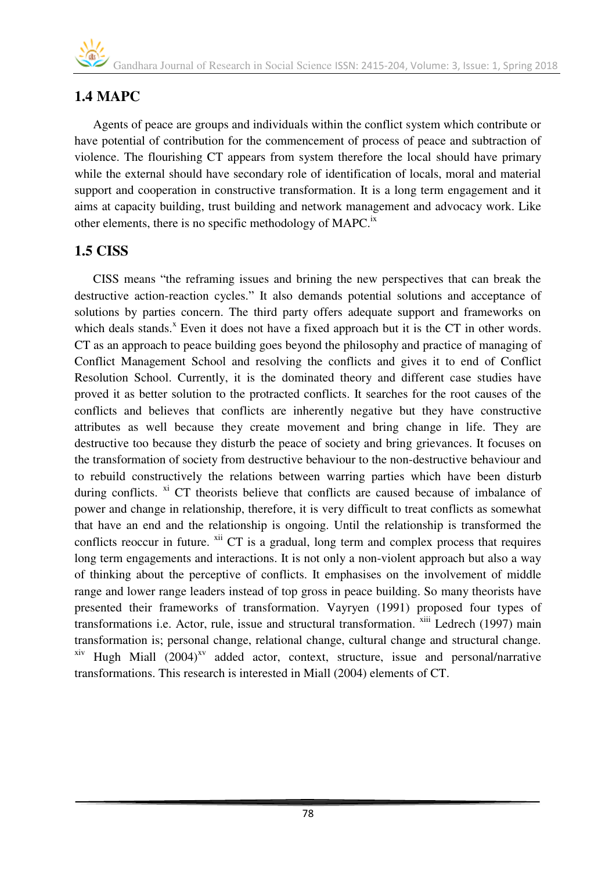# **1.4 MAPC**

Agents of peace are groups and individuals within the conflict system which contribute or have potential of contribution for the commencement of process of peace and subtraction of violence. The flourishing CT appears from system therefore the local should have primary while the external should have secondary role of identification of locals, moral and material support and cooperation in constructive transformation. It is a long term engagement and it aims at capacity building, trust building and network management and advocacy work. Like other elements, there is no specific methodology of MAPC.<sup>ix</sup>

# **1.5 CISS**

CISS means "the reframing issues and brining the new perspectives that can break the destructive action-reaction cycles." It also demands potential solutions and acceptance of solutions by parties concern. The third party offers adequate support and frameworks on which deals stands.<sup>x</sup> Even it does not have a fixed approach but it is the CT in other words. CT as an approach to peace building goes beyond the philosophy and practice of managing of Conflict Management School and resolving the conflicts and gives it to end of Conflict Resolution School. Currently, it is the dominated theory and different case studies have proved it as better solution to the protracted conflicts. It searches for the root causes of the conflicts and believes that conflicts are inherently negative but they have constructive attributes as well because they create movement and bring change in life. They are destructive too because they disturb the peace of society and bring grievances. It focuses on the transformation of society from destructive behaviour to the non-destructive behaviour and to rebuild constructively the relations between warring parties which have been disturb during conflicts.  $X<sup>i</sup>$  CT theorists believe that conflicts are caused because of imbalance of power and change in relationship, therefore, it is very difficult to treat conflicts as somewhat that have an end and the relationship is ongoing. Until the relationship is transformed the conflicts reoccur in future. <sup>xii</sup> CT is a gradual, long term and complex process that requires long term engagements and interactions. It is not only a non-violent approach but also a way of thinking about the perceptive of conflicts. It emphasises on the involvement of middle range and lower range leaders instead of top gross in peace building. So many theorists have presented their frameworks of transformation. Vayryen (1991) proposed four types of transformations i.e. Actor, rule, issue and structural transformation. xiii Ledrech (1997) main transformation is; personal change, relational change, cultural change and structural change.  $x$ iv Hugh Miall (2004)<sup>xv</sup> added actor, context, structure, issue and personal/narrative transformations. This research is interested in Miall (2004) elements of CT.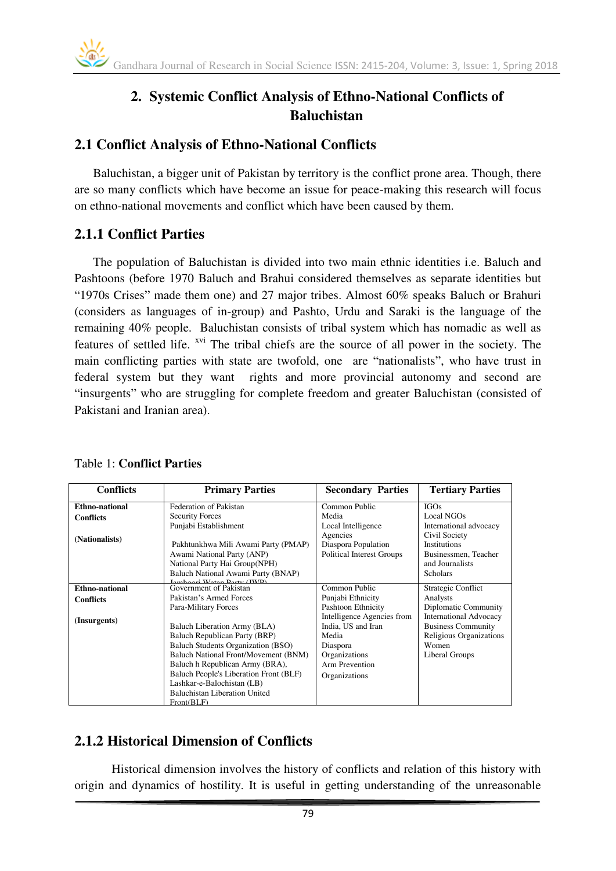# **2. Systemic Conflict Analysis of Ethno-National Conflicts of Baluchistan**

#### **2.1 Conflict Analysis of Ethno-National Conflicts**

Baluchistan, a bigger unit of Pakistan by territory is the conflict prone area. Though, there are so many conflicts which have become an issue for peace-making this research will focus on ethno-national movements and conflict which have been caused by them.

# **2.1.1 Conflict Parties**

The population of Baluchistan is divided into two main ethnic identities i.e. Baluch and Pashtoons (before 1970 Baluch and Brahui considered themselves as separate identities but "1970s Crises" made them one) and 27 major tribes. Almost 60% speaks Baluch or Brahuri (considers as languages of in-group) and Pashto, Urdu and Saraki is the language of the remaining 40% people. Baluchistan consists of tribal system which has nomadic as well as features of settled life. xvi The tribal chiefs are the source of all power in the society. The main conflicting parties with state are twofold, one are "nationalists", who have trust in federal system but they want rights and more provincial autonomy and second are "insurgents" who are struggling for complete freedom and greater Baluchistan (consisted of Pakistani and Iranian area).

| <b>Conflicts</b> | <b>Primary Parties</b>                                           | <b>Secondary Parties</b>         | <b>Tertiary Parties</b>       |
|------------------|------------------------------------------------------------------|----------------------------------|-------------------------------|
| Ethno-national   | Federation of Pakistan                                           | Common Public                    | <b>IGOs</b>                   |
| <b>Conflicts</b> | <b>Security Forces</b>                                           | Media                            | Local NGOs                    |
|                  | Punjabi Establishment                                            | Local Intelligence               | International advocacy        |
| (Nationalists)   |                                                                  | Agencies                         | Civil Society                 |
|                  | Pakhtunkhwa Mili Awami Party (PMAP)                              | Diaspora Population              | <b>Institutions</b>           |
|                  | Awami National Party (ANP)                                       | <b>Political Interest Groups</b> | Businessmen, Teacher          |
|                  | National Party Hai Group(NPH)                                    |                                  | and Journalists               |
|                  | Baluch National Awami Party (BNAP)<br>Iamhoori Water Dorty (IWD) |                                  | Scholars                      |
| Ethno-national   | Government of Pakistan                                           | Common Public                    | <b>Strategic Conflict</b>     |
| <b>Conflicts</b> | Pakistan's Armed Forces                                          | Punjabi Ethnicity                | Analysts                      |
|                  | Para-Military Forces                                             | Pashtoon Ethnicity               | Diplomatic Community          |
| (Insurgents)     |                                                                  | Intelligence Agencies from       | <b>International Advocacy</b> |
|                  | Baluch Liberation Army (BLA)                                     | India. US and Iran               | <b>Business Community</b>     |
|                  | Baluch Republican Party (BRP)                                    | Media                            | Religious Organizations       |
|                  | Baluch Students Organization (BSO)                               | Diaspora                         | Women                         |
|                  | Baluch National Front/Movement (BNM)                             | Organizations                    | Liberal Groups                |
|                  | Baluch h Republican Army (BRA),                                  | Arm Prevention                   |                               |
|                  | Baluch People's Liberation Front (BLF)                           | Organizations                    |                               |
|                  | Lashkar-e-Balochistan (LB)                                       |                                  |                               |
|                  | Baluchistan Liberation United                                    |                                  |                               |
|                  | Front(RLE)                                                       |                                  |                               |

#### Table 1: **Conflict Parties**

# **2.1.2 Historical Dimension of Conflicts**

Historical dimension involves the history of conflicts and relation of this history with origin and dynamics of hostility. It is useful in getting understanding of the unreasonable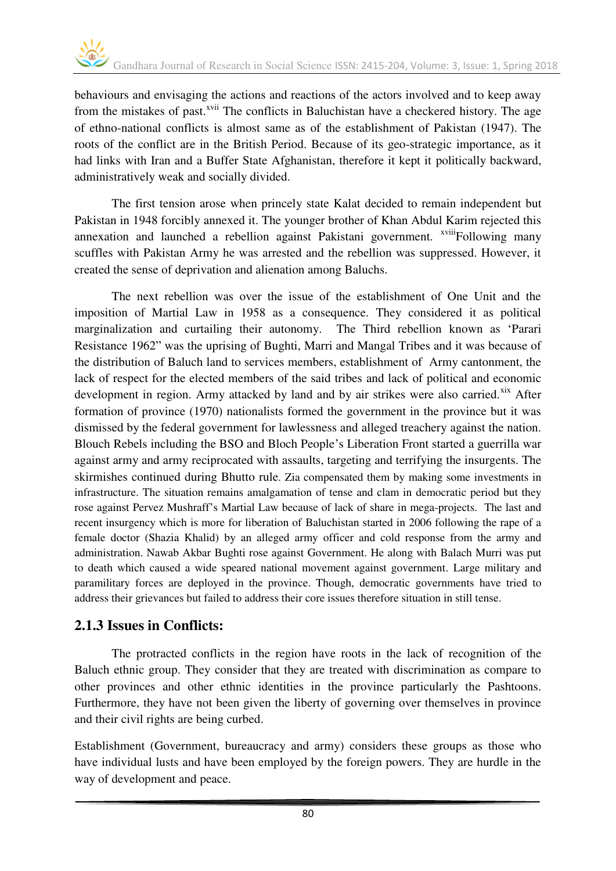behaviours and envisaging the actions and reactions of the actors involved and to keep away from the mistakes of past.<sup>xvii</sup> The conflicts in Baluchistan have a checkered history. The age of ethno-national conflicts is almost same as of the establishment of Pakistan (1947). The roots of the conflict are in the British Period. Because of its geo-strategic importance, as it had links with Iran and a Buffer State Afghanistan, therefore it kept it politically backward, administratively weak and socially divided.

The first tension arose when princely state Kalat decided to remain independent but Pakistan in 1948 forcibly annexed it. The younger brother of Khan Abdul Karim rejected this annexation and launched a rebellion against Pakistani government. <sup>xviii</sup>Following many scuffles with Pakistan Army he was arrested and the rebellion was suppressed. However, it created the sense of deprivation and alienation among Baluchs.

The next rebellion was over the issue of the establishment of One Unit and the imposition of Martial Law in 1958 as a consequence. They considered it as political marginalization and curtailing their autonomy. The Third rebellion known as 'Parari Resistance 1962" was the uprising of Bughti, Marri and Mangal Tribes and it was because of the distribution of Baluch land to services members, establishment of Army cantonment, the lack of respect for the elected members of the said tribes and lack of political and economic development in region. Army attacked by land and by air strikes were also carried.<sup>xix</sup> After formation of province (1970) nationalists formed the government in the province but it was dismissed by the federal government for lawlessness and alleged treachery against the nation. Blouch Rebels including the BSO and Bloch People's Liberation Front started a guerrilla war against army and army reciprocated with assaults, targeting and terrifying the insurgents. The skirmishes continued during Bhutto rule. Zia compensated them by making some investments in infrastructure. The situation remains amalgamation of tense and clam in democratic period but they rose against Pervez Mushraff's Martial Law because of lack of share in mega-projects. The last and recent insurgency which is more for liberation of Baluchistan started in 2006 following the rape of a female doctor (Shazia Khalid) by an alleged army officer and cold response from the army and administration. Nawab Akbar Bughti rose against Government. He along with Balach Murri was put to death which caused a wide speared national movement against government. Large military and paramilitary forces are deployed in the province. Though, democratic governments have tried to address their grievances but failed to address their core issues therefore situation in still tense.

#### **2.1.3 Issues in Conflicts:**

The protracted conflicts in the region have roots in the lack of recognition of the Baluch ethnic group. They consider that they are treated with discrimination as compare to other provinces and other ethnic identities in the province particularly the Pashtoons. Furthermore, they have not been given the liberty of governing over themselves in province and their civil rights are being curbed.

Establishment (Government, bureaucracy and army) considers these groups as those who have individual lusts and have been employed by the foreign powers. They are hurdle in the way of development and peace.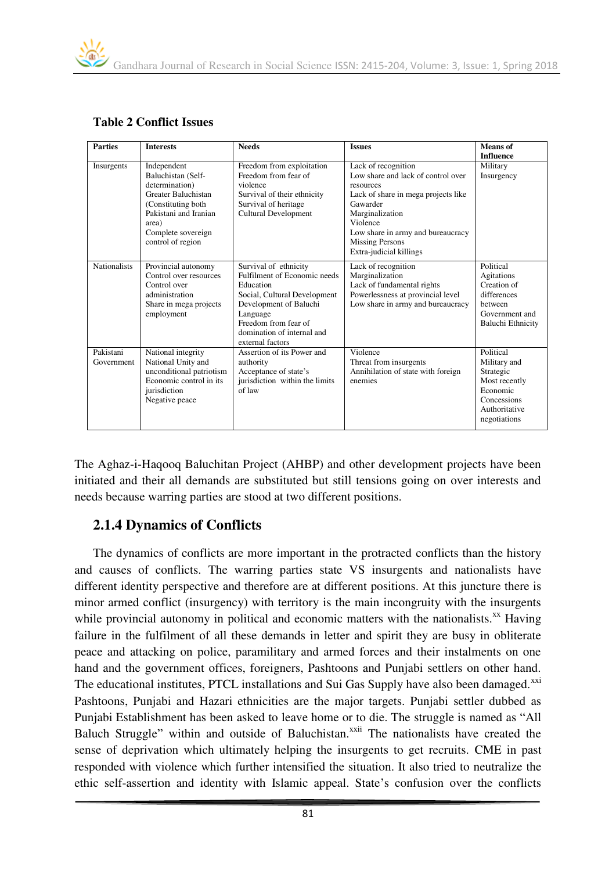| <b>Parties</b>          | <b>Interests</b>                                                                                                                                                               | <b>Needs</b>                                                                                                                                                                                                       | <b>Issues</b>                                                                                                                                                                                                                                      | Means of                                                                                                            |
|-------------------------|--------------------------------------------------------------------------------------------------------------------------------------------------------------------------------|--------------------------------------------------------------------------------------------------------------------------------------------------------------------------------------------------------------------|----------------------------------------------------------------------------------------------------------------------------------------------------------------------------------------------------------------------------------------------------|---------------------------------------------------------------------------------------------------------------------|
|                         |                                                                                                                                                                                |                                                                                                                                                                                                                    |                                                                                                                                                                                                                                                    | <b>Influence</b>                                                                                                    |
| Insurgents              | Independent<br>Baluchistan (Self-<br>determination)<br>Greater Baluchistan<br>(Constituting both)<br>Pakistani and Iranian<br>area)<br>Complete sovereign<br>control of region | Freedom from exploitation<br>Freedom from fear of<br>violence<br>Survival of their ethnicity<br>Survival of heritage<br><b>Cultural Development</b>                                                                | Lack of recognition<br>Low share and lack of control over<br>resources<br>Lack of share in mega projects like<br>Gawarder<br>Marginalization<br>Violence<br>Low share in army and bureaucracy<br><b>Missing Persons</b><br>Extra-judicial killings | Military<br>Insurgency                                                                                              |
| <b>Nationalists</b>     | Provincial autonomy<br>Control over resources<br>Control over<br>administration<br>Share in mega projects<br>employment                                                        | Survival of ethnicity<br>Fulfilment of Economic needs<br>Education<br>Social, Cultural Development<br>Development of Baluchi<br>Language<br>Freedom from fear of<br>domination of internal and<br>external factors | Lack of recognition<br>Marginalization<br>Lack of fundamental rights<br>Powerlessness at provincial level<br>Low share in army and bureaucracy                                                                                                     | Political<br>Agitations<br>Creation of<br>differences<br>between<br>Government and<br><b>Baluchi Ethnicity</b>      |
| Pakistani<br>Government | National integrity<br>National Unity and<br>unconditional patriotism<br>Economic control in its<br>jurisdiction<br>Negative peace                                              | Assertion of its Power and<br>authority<br>Acceptance of state's<br>jurisdiction within the limits<br>of law                                                                                                       | Violence<br>Threat from insurgents<br>Annihilation of state with foreign<br>enemies                                                                                                                                                                | Political<br>Military and<br>Strategic<br>Most recently<br>Economic<br>Concessions<br>Authoritative<br>negotiations |

#### **Table 2 Conflict Issues**

The Aghaz-i-Haqooq Baluchitan Project (AHBP) and other development projects have been initiated and their all demands are substituted but still tensions going on over interests and needs because warring parties are stood at two different positions.

#### **2.1.4 Dynamics of Conflicts**

The dynamics of conflicts are more important in the protracted conflicts than the history and causes of conflicts. The warring parties state VS insurgents and nationalists have different identity perspective and therefore are at different positions. At this juncture there is minor armed conflict (insurgency) with territory is the main incongruity with the insurgents while provincial autonomy in political and economic matters with the nationalists. $^{xx}$  Having failure in the fulfilment of all these demands in letter and spirit they are busy in obliterate peace and attacking on police, paramilitary and armed forces and their instalments on one hand and the government offices, foreigners, Pashtoons and Punjabi settlers on other hand. The educational institutes, PTCL installations and Sui Gas Supply have also been damaged.<sup>xxi</sup> Pashtoons, Punjabi and Hazari ethnicities are the major targets. Punjabi settler dubbed as Punjabi Establishment has been asked to leave home or to die. The struggle is named as "All Baluch Struggle" within and outside of Baluchistan.<sup>xxii</sup> The nationalists have created the sense of deprivation which ultimately helping the insurgents to get recruits. CME in past responded with violence which further intensified the situation. It also tried to neutralize the ethic self-assertion and identity with Islamic appeal. State's confusion over the conflicts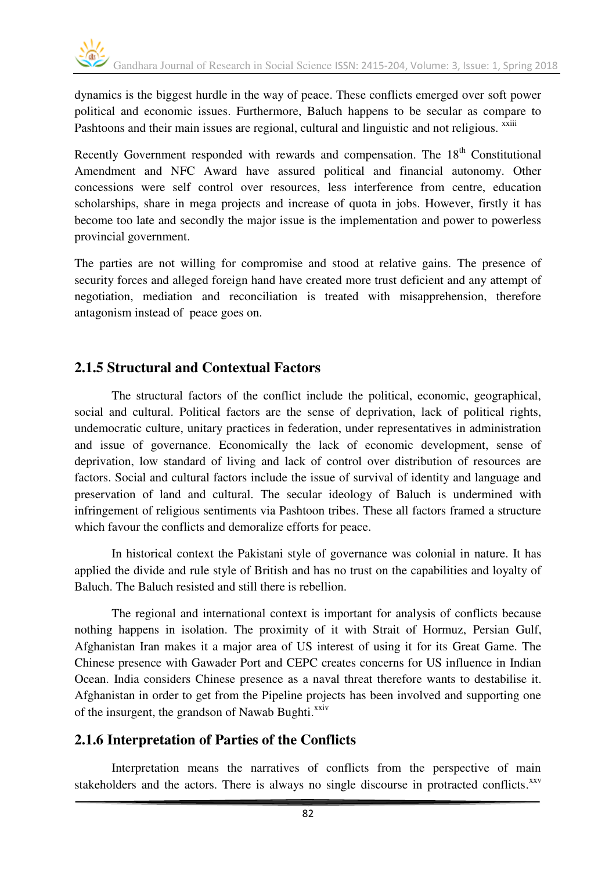dynamics is the biggest hurdle in the way of peace. These conflicts emerged over soft power political and economic issues. Furthermore, Baluch happens to be secular as compare to Pashtoons and their main issues are regional, cultural and linguistic and not religious. <sup>xxiii</sup>

Recently Government responded with rewards and compensation. The 18<sup>th</sup> Constitutional Amendment and NFC Award have assured political and financial autonomy. Other concessions were self control over resources, less interference from centre, education scholarships, share in mega projects and increase of quota in jobs. However, firstly it has become too late and secondly the major issue is the implementation and power to powerless provincial government.

The parties are not willing for compromise and stood at relative gains. The presence of security forces and alleged foreign hand have created more trust deficient and any attempt of negotiation, mediation and reconciliation is treated with misapprehension, therefore antagonism instead of peace goes on.

#### **2.1.5 Structural and Contextual Factors**

The structural factors of the conflict include the political, economic, geographical, social and cultural. Political factors are the sense of deprivation, lack of political rights, undemocratic culture, unitary practices in federation, under representatives in administration and issue of governance. Economically the lack of economic development, sense of deprivation, low standard of living and lack of control over distribution of resources are factors. Social and cultural factors include the issue of survival of identity and language and preservation of land and cultural. The secular ideology of Baluch is undermined with infringement of religious sentiments via Pashtoon tribes. These all factors framed a structure which favour the conflicts and demoralize efforts for peace.

In historical context the Pakistani style of governance was colonial in nature. It has applied the divide and rule style of British and has no trust on the capabilities and loyalty of Baluch. The Baluch resisted and still there is rebellion.

The regional and international context is important for analysis of conflicts because nothing happens in isolation. The proximity of it with Strait of Hormuz, Persian Gulf, Afghanistan Iran makes it a major area of US interest of using it for its Great Game. The Chinese presence with Gawader Port and CEPC creates concerns for US influence in Indian Ocean. India considers Chinese presence as a naval threat therefore wants to destabilise it. Afghanistan in order to get from the Pipeline projects has been involved and supporting one of the insurgent, the grandson of Nawab Bughti.<sup>xxiv</sup>

#### **2.1.6 Interpretation of Parties of the Conflicts**

Interpretation means the narratives of conflicts from the perspective of main stakeholders and the actors. There is always no single discourse in protracted conflicts.<sup>xxv</sup>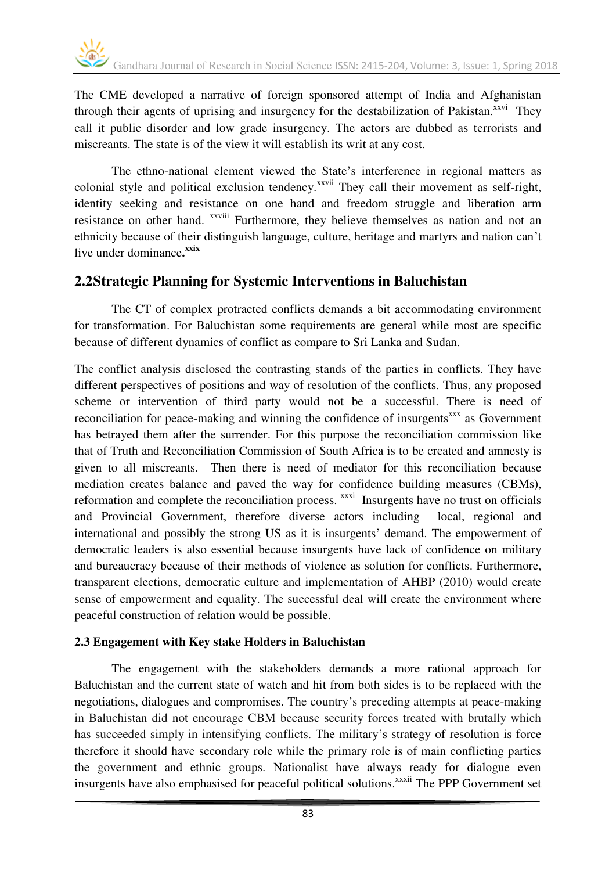The CME developed a narrative of foreign sponsored attempt of India and Afghanistan through their agents of uprising and insurgency for the destabilization of Pakistan.<sup>xxvi</sup> They call it public disorder and low grade insurgency. The actors are dubbed as terrorists and miscreants. The state is of the view it will establish its writ at any cost.

The ethno-national element viewed the State's interference in regional matters as colonial style and political exclusion tendency.<sup>xxvii</sup> They call their movement as self-right, identity seeking and resistance on one hand and freedom struggle and liberation arm resistance on other hand. <sup>xxviii</sup> Furthermore, they believe themselves as nation and not an ethnicity because of their distinguish language, culture, heritage and martyrs and nation can't live under dominance.<sup>xxix</sup>

#### **2.2Strategic Planning for Systemic Interventions in Baluchistan**

The CT of complex protracted conflicts demands a bit accommodating environment for transformation. For Baluchistan some requirements are general while most are specific because of different dynamics of conflict as compare to Sri Lanka and Sudan.

The conflict analysis disclosed the contrasting stands of the parties in conflicts. They have different perspectives of positions and way of resolution of the conflicts. Thus, any proposed scheme or intervention of third party would not be a successful. There is need of reconciliation for peace-making and winning the confidence of insurgents<sup>xxx</sup> as Government has betrayed them after the surrender. For this purpose the reconciliation commission like that of Truth and Reconciliation Commission of South Africa is to be created and amnesty is given to all miscreants. Then there is need of mediator for this reconciliation because mediation creates balance and paved the way for confidence building measures (CBMs), reformation and complete the reconciliation process. <sup>xxxi</sup> Insurgents have no trust on officials and Provincial Government, therefore diverse actors including local, regional and international and possibly the strong US as it is insurgents' demand. The empowerment of democratic leaders is also essential because insurgents have lack of confidence on military and bureaucracy because of their methods of violence as solution for conflicts. Furthermore, transparent elections, democratic culture and implementation of AHBP (2010) would create sense of empowerment and equality. The successful deal will create the environment where peaceful construction of relation would be possible.

#### **2.3 Engagement with Key stake Holders in Baluchistan**

The engagement with the stakeholders demands a more rational approach for Baluchistan and the current state of watch and hit from both sides is to be replaced with the negotiations, dialogues and compromises. The country's preceding attempts at peace-making in Baluchistan did not encourage CBM because security forces treated with brutally which has succeeded simply in intensifying conflicts. The military's strategy of resolution is force therefore it should have secondary role while the primary role is of main conflicting parties the government and ethnic groups. Nationalist have always ready for dialogue even insurgents have also emphasised for peaceful political solutions.<sup>xxxii</sup> The PPP Government set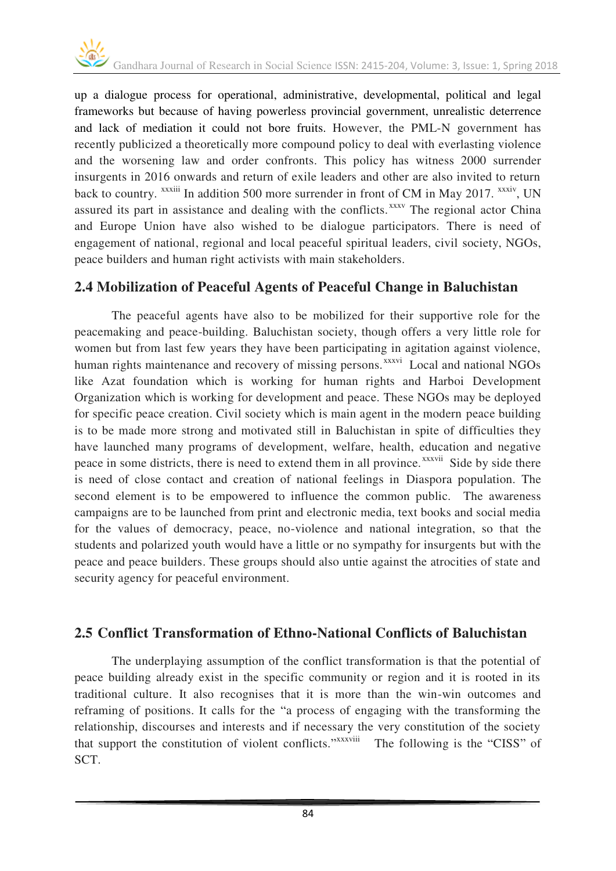up a dialogue process for operational, administrative, developmental, political and legal frameworks but because of having powerless provincial government, unrealistic deterrence and lack of mediation it could not bore fruits. However, the PML-N government has recently publicized a theoretically more compound policy to deal with everlasting violence and the worsening law and order confronts. This policy has witness 2000 surrender insurgents in 2016 onwards and return of exile leaders and other are also invited to return back to country. <sup>xxxiii</sup> In addition 500 more surrender in front of CM in May 2017. <sup>xxxiv</sup>, UN assured its part in assistance and dealing with the conflicts.<sup>xxxv</sup> The regional actor China and Europe Union have also wished to be dialogue participators. There is need of engagement of national, regional and local peaceful spiritual leaders, civil society, NGOs, peace builders and human right activists with main stakeholders.

#### **2.4 Mobilization of Peaceful Agents of Peaceful Change in Baluchistan**

The peaceful agents have also to be mobilized for their supportive role for the peacemaking and peace-building. Baluchistan society, though offers a very little role for women but from last few years they have been participating in agitation against violence, human rights maintenance and recovery of missing persons.<sup>xxxvi</sup> Local and national NGOs like Azat foundation which is working for human rights and Harboi Development Organization which is working for development and peace. These NGOs may be deployed for specific peace creation. Civil society which is main agent in the modern peace building is to be made more strong and motivated still in Baluchistan in spite of difficulties they have launched many programs of development, welfare, health, education and negative peace in some districts, there is need to extend them in all province.<sup>xxxvii</sup> Side by side there is need of close contact and creation of national feelings in Diaspora population. The second element is to be empowered to influence the common public. The awareness campaigns are to be launched from print and electronic media, text books and social media for the values of democracy, peace, no-violence and national integration, so that the students and polarized youth would have a little or no sympathy for insurgents but with the peace and peace builders. These groups should also untie against the atrocities of state and security agency for peaceful environment.

#### **2.5 Conflict Transformation of Ethno-National Conflicts of Baluchistan**

The underplaying assumption of the conflict transformation is that the potential of peace building already exist in the specific community or region and it is rooted in its traditional culture. It also recognises that it is more than the win-win outcomes and reframing of positions. It calls for the "a process of engaging with the transforming the relationship, discourses and interests and if necessary the very constitution of the society that support the constitution of violent conflicts." XXXXVIII The following is the "CISS" of SCT.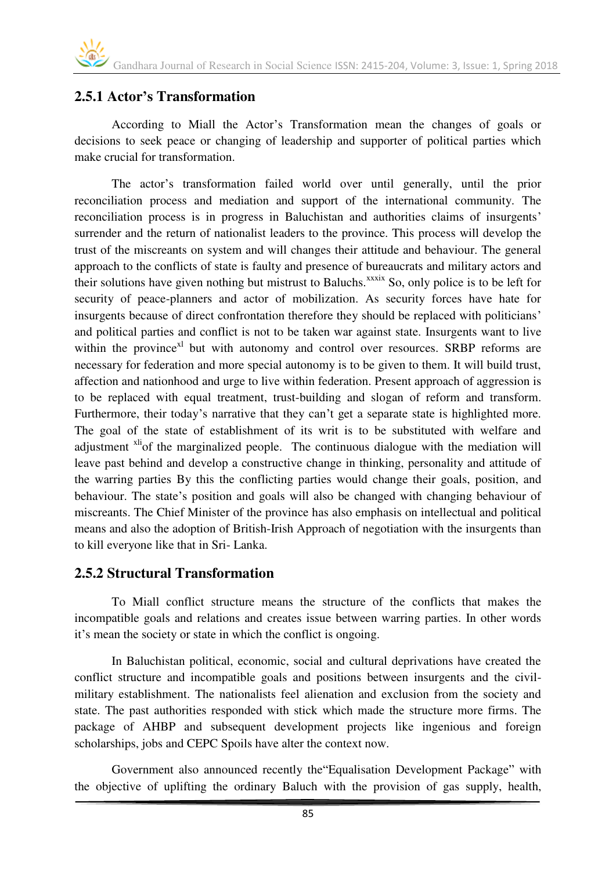#### **2.5.1 Actor's Transformation**

According to Miall the Actor's Transformation mean the changes of goals or decisions to seek peace or changing of leadership and supporter of political parties which make crucial for transformation.

The actor's transformation failed world over until generally, until the prior reconciliation process and mediation and support of the international community. The reconciliation process is in progress in Baluchistan and authorities claims of insurgents' surrender and the return of nationalist leaders to the province. This process will develop the trust of the miscreants on system and will changes their attitude and behaviour. The general approach to the conflicts of state is faulty and presence of bureaucrats and military actors and their solutions have given nothing but mistrust to Baluchs.<sup>xxxix</sup> So, only police is to be left for security of peace-planners and actor of mobilization. As security forces have hate for insurgents because of direct confrontation therefore they should be replaced with politicians' and political parties and conflict is not to be taken war against state. Insurgents want to live within the province $x_i$  but with autonomy and control over resources. SRBP reforms are necessary for federation and more special autonomy is to be given to them. It will build trust, affection and nationhood and urge to live within federation. Present approach of aggression is to be replaced with equal treatment, trust-building and slogan of reform and transform. Furthermore, their today's narrative that they can't get a separate state is highlighted more. The goal of the state of establishment of its writ is to be substituted with welfare and adjustment <sup>xli</sup>of the marginalized people. The continuous dialogue with the mediation will leave past behind and develop a constructive change in thinking, personality and attitude of the warring parties By this the conflicting parties would change their goals, position, and behaviour. The state's position and goals will also be changed with changing behaviour of miscreants. The Chief Minister of the province has also emphasis on intellectual and political means and also the adoption of British-Irish Approach of negotiation with the insurgents than to kill everyone like that in Sri- Lanka.

#### **2.5.2 Structural Transformation**

To Miall conflict structure means the structure of the conflicts that makes the incompatible goals and relations and creates issue between warring parties. In other words it's mean the society or state in which the conflict is ongoing.

In Baluchistan political, economic, social and cultural deprivations have created the conflict structure and incompatible goals and positions between insurgents and the civilmilitary establishment. The nationalists feel alienation and exclusion from the society and state. The past authorities responded with stick which made the structure more firms. The package of AHBP and subsequent development projects like ingenious and foreign scholarships, jobs and CEPC Spoils have alter the context now.

Government also announced recently the"Equalisation Development Package" with the objective of uplifting the ordinary Baluch with the provision of gas supply, health,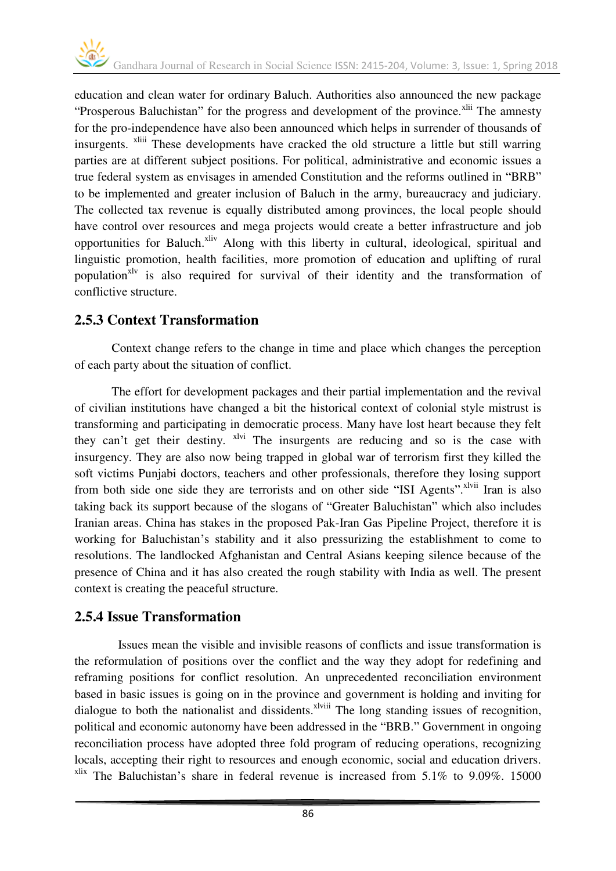education and clean water for ordinary Baluch. Authorities also announced the new package "Prosperous Baluchistan" for the progress and development of the province.<sup>xlii</sup> The amnesty for the pro-independence have also been announced which helps in surrender of thousands of insurgents. <sup>xliii</sup> These developments have cracked the old structure a little but still warring parties are at different subject positions. For political, administrative and economic issues a true federal system as envisages in amended Constitution and the reforms outlined in "BRB" to be implemented and greater inclusion of Baluch in the army, bureaucracy and judiciary. The collected tax revenue is equally distributed among provinces, the local people should have control over resources and mega projects would create a better infrastructure and job opportunities for Baluch.<sup>xliv</sup> Along with this liberty in cultural, ideological, spiritual and linguistic promotion, health facilities, more promotion of education and uplifting of rural population<sup>xlv</sup> is also required for survival of their identity and the transformation of conflictive structure.

#### **2.5.3 Context Transformation**

Context change refers to the change in time and place which changes the perception of each party about the situation of conflict.

The effort for development packages and their partial implementation and the revival of civilian institutions have changed a bit the historical context of colonial style mistrust is transforming and participating in democratic process. Many have lost heart because they felt they can't get their destiny. <sup>xlvi</sup> The insurgents are reducing and so is the case with insurgency. They are also now being trapped in global war of terrorism first they killed the soft victims Punjabi doctors, teachers and other professionals, therefore they losing support from both side one side they are terrorists and on other side "ISI Agents".<sup>Ivii</sup> Iran is also taking back its support because of the slogans of "Greater Baluchistan" which also includes Iranian areas. China has stakes in the proposed Pak-Iran Gas Pipeline Project, therefore it is working for Baluchistan's stability and it also pressurizing the establishment to come to resolutions. The landlocked Afghanistan and Central Asians keeping silence because of the presence of China and it has also created the rough stability with India as well. The present context is creating the peaceful structure.

#### **2.5.4 Issue Transformation**

 Issues mean the visible and invisible reasons of conflicts and issue transformation is the reformulation of positions over the conflict and the way they adopt for redefining and reframing positions for conflict resolution. An unprecedented reconciliation environment based in basic issues is going on in the province and government is holding and inviting for dialogue to both the nationalist and dissidents. $x^{\text{lviii}}$  The long standing issues of recognition, political and economic autonomy have been addressed in the "BRB." Government in ongoing reconciliation process have adopted three fold program of reducing operations, recognizing locals, accepting their right to resources and enough economic, social and education drivers.  $x$ lix The Baluchistan's share in federal revenue is increased from 5.1% to 9.09%. 15000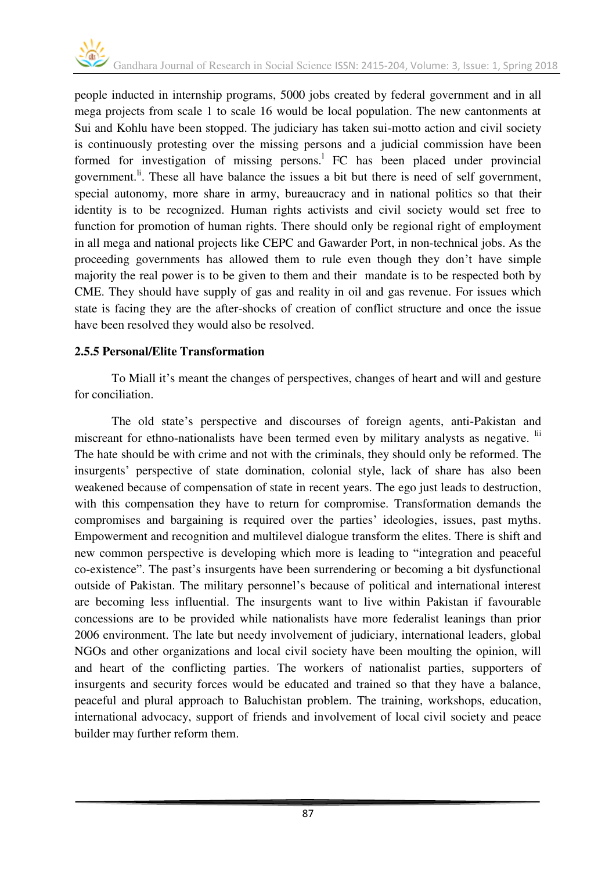people inducted in internship programs, 5000 jobs created by federal government and in all mega projects from scale 1 to scale 16 would be local population. The new cantonments at Sui and Kohlu have been stopped. The judiciary has taken sui-motto action and civil society is continuously protesting over the missing persons and a judicial commission have been formed for investigation of missing persons.<sup>1</sup> FC has been placed under provincial government.<sup>li</sup>. These all have balance the issues a bit but there is need of self government, special autonomy, more share in army, bureaucracy and in national politics so that their identity is to be recognized. Human rights activists and civil society would set free to function for promotion of human rights. There should only be regional right of employment in all mega and national projects like CEPC and Gawarder Port, in non-technical jobs. As the proceeding governments has allowed them to rule even though they don't have simple majority the real power is to be given to them and their mandate is to be respected both by CME. They should have supply of gas and reality in oil and gas revenue. For issues which state is facing they are the after-shocks of creation of conflict structure and once the issue have been resolved they would also be resolved.

#### **2.5.5 Personal/Elite Transformation**

To Miall it's meant the changes of perspectives, changes of heart and will and gesture for conciliation.

The old state's perspective and discourses of foreign agents, anti-Pakistan and miscreant for ethno-nationalists have been termed even by military analysts as negative. <sup>lii</sup> The hate should be with crime and not with the criminals, they should only be reformed. The insurgents' perspective of state domination, colonial style, lack of share has also been weakened because of compensation of state in recent years. The ego just leads to destruction, with this compensation they have to return for compromise. Transformation demands the compromises and bargaining is required over the parties' ideologies, issues, past myths. Empowerment and recognition and multilevel dialogue transform the elites. There is shift and new common perspective is developing which more is leading to "integration and peaceful co-existence". The past's insurgents have been surrendering or becoming a bit dysfunctional outside of Pakistan. The military personnel's because of political and international interest are becoming less influential. The insurgents want to live within Pakistan if favourable concessions are to be provided while nationalists have more federalist leanings than prior 2006 environment. The late but needy involvement of judiciary, international leaders, global NGOs and other organizations and local civil society have been moulting the opinion, will and heart of the conflicting parties. The workers of nationalist parties, supporters of insurgents and security forces would be educated and trained so that they have a balance, peaceful and plural approach to Baluchistan problem. The training, workshops, education, international advocacy, support of friends and involvement of local civil society and peace builder may further reform them.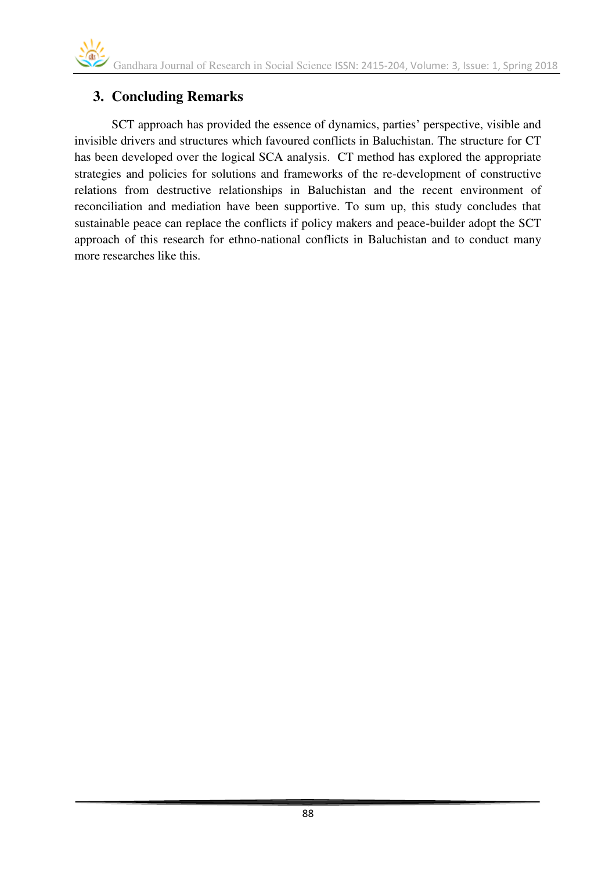# **3. Concluding Remarks**

SCT approach has provided the essence of dynamics, parties' perspective, visible and invisible drivers and structures which favoured conflicts in Baluchistan. The structure for CT has been developed over the logical SCA analysis. CT method has explored the appropriate strategies and policies for solutions and frameworks of the re-development of constructive relations from destructive relationships in Baluchistan and the recent environment of reconciliation and mediation have been supportive. To sum up, this study concludes that sustainable peace can replace the conflicts if policy makers and peace-builder adopt the SCT approach of this research for ethno-national conflicts in Baluchistan and to conduct many more researches like this.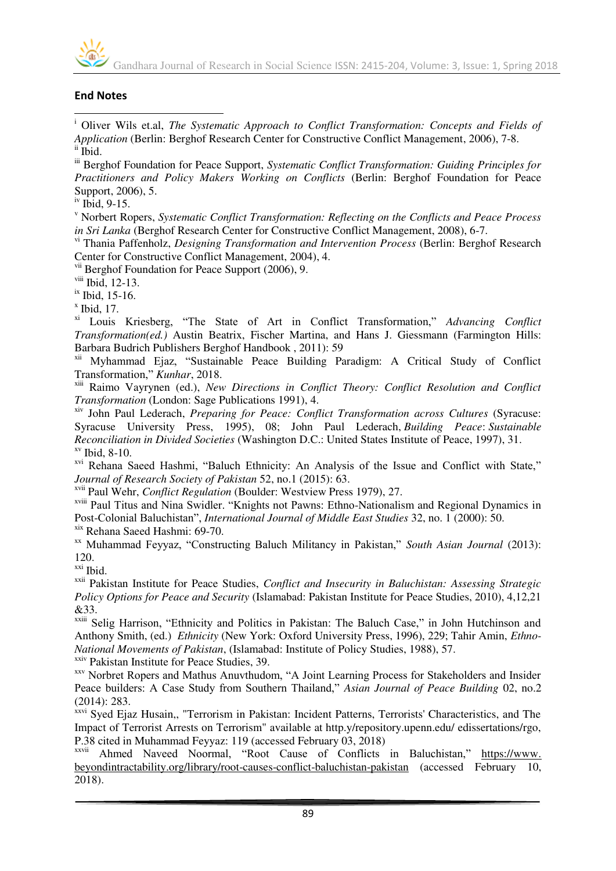

#### **End Notes**

 $\overline{a}$ 

<sup>i</sup> Oliver Wils et.al, *The Systematic Approach to Conflict Transformation: Concepts and Fields of Application* (Berlin: Berghof Research Center for Constructive Conflict Management, 2006), 7-8. ii Ibid.

iii Berghof Foundation for Peace Support, *Systematic Conflict Transformation: Guiding Principles for Practitioners and Policy Makers Working on Conflicts* (Berlin: Berghof Foundation for Peace Support, 2006), 5.

iv Ibid, 9-15.

v Norbert Ropers, *Systematic Conflict Transformation: Reflecting on the Conflicts and Peace Process in Sri Lanka* (Berghof Research Center for Constructive Conflict Management, 2008), 6-7.

vi Thania Paffenholz, *Designing Transformation and Intervention Process* (Berlin: Berghof Research Center for Constructive Conflict Management, 2004), 4.

<sup>vii</sup> Berghof Foundation for Peace Support (2006), 9.

viii Ibid, 12-13.

ix Ibid, 15-16.

 $x$  Ibid, 17.

xi Louis Kriesberg, "The State of Art in Conflict Transformation," *Advancing Conflict Transformation(ed.)* Austin Beatrix, Fischer Martina, and Hans J. Giessmann (Farmington Hills: Barbara Budrich Publishers Berghof Handbook , 2011): 59

xii Myhammad Ejaz, "Sustainable Peace Building Paradigm: A Critical Study of Conflict Transformation," *Kunhar*, 2018.

xiii Raimo Vayrynen (ed.), *New Directions in Conflict Theory: Conflict Resolution and Conflict Transformation* (London: Sage Publications 1991), 4.

xiv John Paul Lederach, *Preparing for Peace: Conflict Transformation across Cultures* (Syracuse: Syracuse University Press, 1995), 08; John Paul Lederach, *Building Peace*: *Sustainable Reconciliation in Divided Societies* (Washington D.C.: United States Institute of Peace, 1997), 31. xv Ibid, 8-10.

<sup>xvi</sup> Rehana Saeed Hashmi, "Baluch Ethnicity: An Analysis of the Issue and Conflict with State," *Journal of Research Society of Pakistan* 52, no.1 (2015): 63.

xvii Paul Wehr, *Conflict Regulation* (Boulder: Westview Press 1979), 27.

xviii Paul Titus and Nina Swidler. "Knights not Pawns: Ethno-Nationalism and Regional Dynamics in Post-Colonial Baluchistan", *International Journal of Middle East Studies* 32, no. 1 (2000): 50.

xix Rehana Saeed Hashmi: 69-70.

xx Muhammad Feyyaz, "Constructing Baluch Militancy in Pakistan," *South Asian Journal* (2013): 120.

xxi Ibid.

xxii Pakistan Institute for Peace Studies, *Conflict and Insecurity in Baluchistan: Assessing Strategic Policy Options for Peace and Security* (Islamabad: Pakistan Institute for Peace Studies, 2010), 4,12,21 &33.

xxiii Selig Harrison, "Ethnicity and Politics in Pakistan: The Baluch Case," in John Hutchinson and Anthony Smith, (ed.) *Ethnicity* (New York: Oxford University Press, 1996), 229; Tahir Amin, *Ethno-National Movements of Pakistan*, (Islamabad: Institute of Policy Studies, 1988), 57.

<sup>xxiv</sup> Pakistan Institute for Peace Studies, 39.

xxv Norbret Ropers and Mathus Anuvthudom, "A Joint Learning Process for Stakeholders and Insider Peace builders: A Case Study from Southern Thailand," *Asian Journal of Peace Building* 02, no.2 (2014): 283.

xxvi Syed Ejaz Husain,, "Terrorism in Pakistan: Incident Patterns, Terrorists' Characteristics, and The Impact of Terrorist Arrests on Terrorism" available at http.y/repository.upenn.edu/ edissertations/rgo, P.38 cited in Muhammad Feyyaz: 119 (accessed February 03, 2018)

xxvii Ahmed Naveed Noormal, "Root Cause of Conflicts in Baluchistan," https://www. beyondintractability.org/library/root-causes-conflict-baluchistan-pakistan (accessed February 10, 2018).